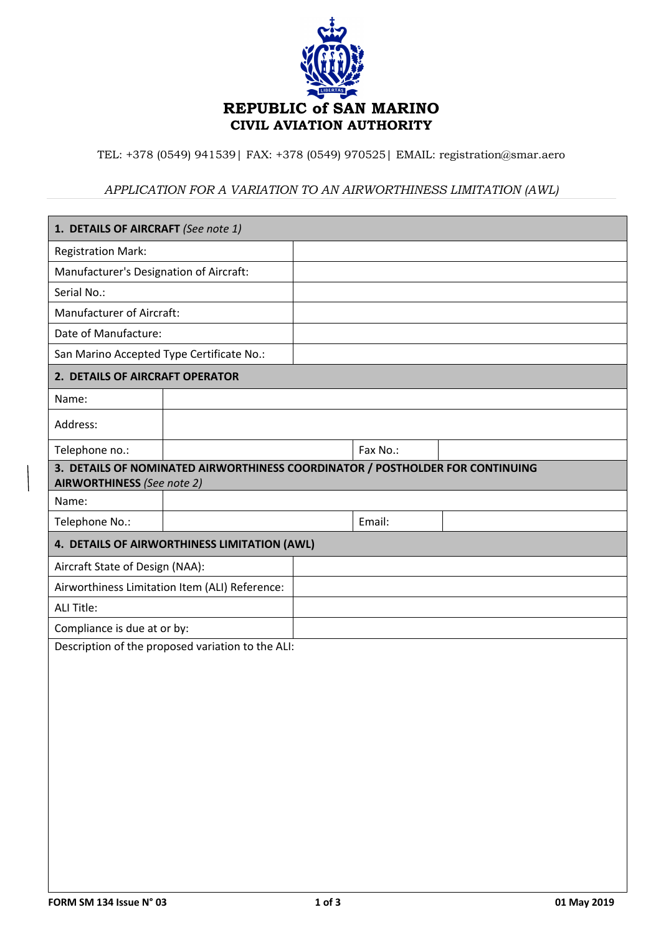

TEL: +378 (0549) 941539| FAX: +378 (0549) 970525| EMAIL: registration@smar.aero

## *APPLICATION FOR A VARIATION TO AN AIRWORTHINESS LIMITATION (AWL)*

| 1. DETAILS OF AIRCRAFT (See note 1)                                                                                |  |          |  |  |  |
|--------------------------------------------------------------------------------------------------------------------|--|----------|--|--|--|
| <b>Registration Mark:</b>                                                                                          |  |          |  |  |  |
| Manufacturer's Designation of Aircraft:                                                                            |  |          |  |  |  |
| Serial No.:                                                                                                        |  |          |  |  |  |
| Manufacturer of Aircraft:                                                                                          |  |          |  |  |  |
| Date of Manufacture:                                                                                               |  |          |  |  |  |
| San Marino Accepted Type Certificate No.:                                                                          |  |          |  |  |  |
| 2. DETAILS OF AIRCRAFT OPERATOR                                                                                    |  |          |  |  |  |
| Name:                                                                                                              |  |          |  |  |  |
| Address:                                                                                                           |  |          |  |  |  |
| Telephone no.:                                                                                                     |  | Fax No.: |  |  |  |
| 3. DETAILS OF NOMINATED AIRWORTHINESS COORDINATOR / POSTHOLDER FOR CONTINUING<br><b>AIRWORTHINESS</b> (See note 2) |  |          |  |  |  |
| Name:                                                                                                              |  |          |  |  |  |
| Telephone No.:                                                                                                     |  | Email:   |  |  |  |
| 4. DETAILS OF AIRWORTHINESS LIMITATION (AWL)                                                                       |  |          |  |  |  |
|                                                                                                                    |  |          |  |  |  |
| Aircraft State of Design (NAA):                                                                                    |  |          |  |  |  |
| Airworthiness Limitation Item (ALI) Reference:                                                                     |  |          |  |  |  |
| <b>ALI Title:</b>                                                                                                  |  |          |  |  |  |
| Compliance is due at or by:                                                                                        |  |          |  |  |  |
| Description of the proposed variation to the ALI:                                                                  |  |          |  |  |  |
|                                                                                                                    |  |          |  |  |  |
|                                                                                                                    |  |          |  |  |  |
|                                                                                                                    |  |          |  |  |  |
|                                                                                                                    |  |          |  |  |  |
|                                                                                                                    |  |          |  |  |  |
|                                                                                                                    |  |          |  |  |  |
|                                                                                                                    |  |          |  |  |  |
|                                                                                                                    |  |          |  |  |  |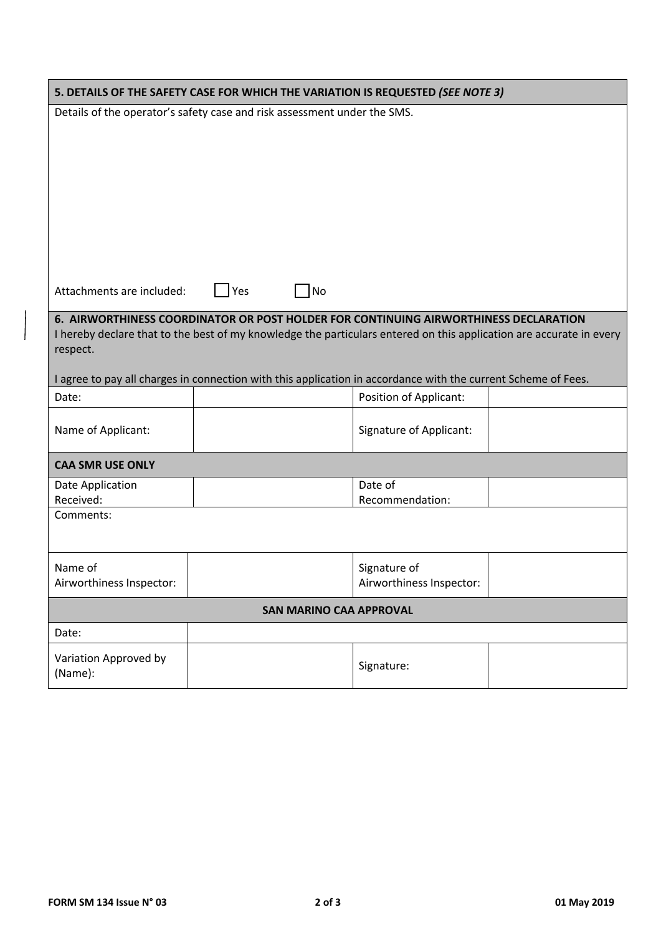| 5. DETAILS OF THE SAFETY CASE FOR WHICH THE VARIATION IS REQUESTED (SEE NOTE 3)                                                                                                                             |                                                                                                               |                                          |  |  |  |
|-------------------------------------------------------------------------------------------------------------------------------------------------------------------------------------------------------------|---------------------------------------------------------------------------------------------------------------|------------------------------------------|--|--|--|
| Details of the operator's safety case and risk assessment under the SMS.                                                                                                                                    |                                                                                                               |                                          |  |  |  |
|                                                                                                                                                                                                             |                                                                                                               |                                          |  |  |  |
|                                                                                                                                                                                                             |                                                                                                               |                                          |  |  |  |
|                                                                                                                                                                                                             |                                                                                                               |                                          |  |  |  |
|                                                                                                                                                                                                             |                                                                                                               |                                          |  |  |  |
|                                                                                                                                                                                                             |                                                                                                               |                                          |  |  |  |
|                                                                                                                                                                                                             |                                                                                                               |                                          |  |  |  |
|                                                                                                                                                                                                             |                                                                                                               |                                          |  |  |  |
| Yes<br>$\overline{\phantom{a}}$ No<br>Attachments are included:                                                                                                                                             |                                                                                                               |                                          |  |  |  |
|                                                                                                                                                                                                             |                                                                                                               |                                          |  |  |  |
| 6. AIRWORTHINESS COORDINATOR OR POST HOLDER FOR CONTINUING AIRWORTHINESS DECLARATION<br>I hereby declare that to the best of my knowledge the particulars entered on this application are accurate in every |                                                                                                               |                                          |  |  |  |
| respect.                                                                                                                                                                                                    |                                                                                                               |                                          |  |  |  |
|                                                                                                                                                                                                             | I agree to pay all charges in connection with this application in accordance with the current Scheme of Fees. |                                          |  |  |  |
| Date:                                                                                                                                                                                                       |                                                                                                               | Position of Applicant:                   |  |  |  |
|                                                                                                                                                                                                             |                                                                                                               |                                          |  |  |  |
| Name of Applicant:                                                                                                                                                                                          |                                                                                                               | Signature of Applicant:                  |  |  |  |
| <b>CAA SMR USE ONLY</b>                                                                                                                                                                                     |                                                                                                               |                                          |  |  |  |
| Date Application                                                                                                                                                                                            |                                                                                                               | Date of                                  |  |  |  |
| Received:<br>Comments:                                                                                                                                                                                      |                                                                                                               | Recommendation:                          |  |  |  |
|                                                                                                                                                                                                             |                                                                                                               |                                          |  |  |  |
|                                                                                                                                                                                                             |                                                                                                               |                                          |  |  |  |
| Name of<br>Airworthiness Inspector:                                                                                                                                                                         |                                                                                                               | Signature of<br>Airworthiness Inspector: |  |  |  |
|                                                                                                                                                                                                             |                                                                                                               |                                          |  |  |  |
| <b>SAN MARINO CAA APPROVAL</b>                                                                                                                                                                              |                                                                                                               |                                          |  |  |  |
| Date:                                                                                                                                                                                                       |                                                                                                               |                                          |  |  |  |
| Variation Approved by                                                                                                                                                                                       |                                                                                                               | Signature:                               |  |  |  |
| (Name):                                                                                                                                                                                                     |                                                                                                               |                                          |  |  |  |